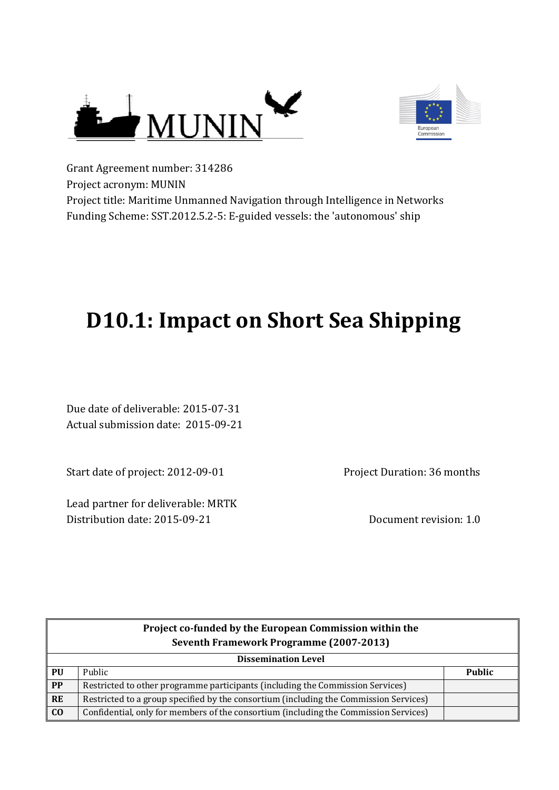



Grant Agreement number: 314286 Project acronym: MUNIN Project title: Maritime Unmanned Navigation through Intelligence in Networks Funding Scheme: SST.2012.5.2-5: E-guided vessels: the 'autonomous' ship

# **D10.1: Impact on Short Sea Shipping**

Due date of deliverable: 2015-07-31 Actual submission date: 2015-09-21

Start date of project: 2012-09-01

Lead partner for deliverable: MRTK Distribution date: 2015-09-21 Distribution date: 2015-09-21

Project Duration: 36 months

| Project co-funded by the European Commission within the |                                                                                       |               |
|---------------------------------------------------------|---------------------------------------------------------------------------------------|---------------|
|                                                         | Seventh Framework Programme (2007-2013)                                               |               |
| <b>Dissemination Level</b>                              |                                                                                       |               |
| PU                                                      | Public                                                                                | <b>Public</b> |
| PP                                                      | Restricted to other programme participants (including the Commission Services)        |               |
| <b>RE</b>                                               | Restricted to a group specified by the consortium (including the Commission Services) |               |
| C <sub>0</sub>                                          | Confidential, only for members of the consortium (including the Commission Services)  |               |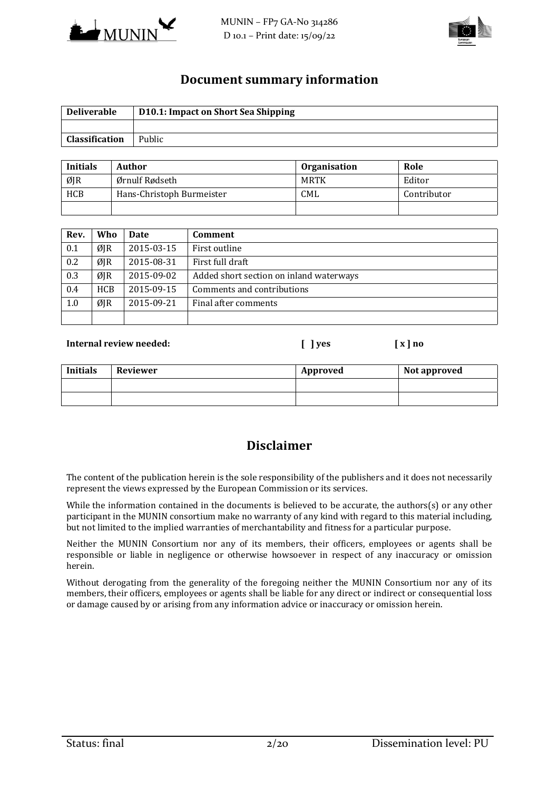



## **Document summary information**

| <b>Deliverable</b>    | D10.1: Impact on Short Sea Shipping |
|-----------------------|-------------------------------------|
|                       |                                     |
| <b>Classification</b> | Public                              |

| <b>Initials</b> | Author                    | <b>Organisation</b> | Role        |
|-----------------|---------------------------|---------------------|-------------|
| ØJR             | Ørnulf Rødseth            | MRTK                | Editor      |
| <b>HCB</b>      | Hans-Christoph Burmeister | <b>CML</b>          | Contributor |
|                 |                           |                     |             |

| Rev. | Who  | <b>Date</b> | Comment                                 |
|------|------|-------------|-----------------------------------------|
| 0.1  | ØJR  | 2015-03-15  | First outline                           |
| 0.2  | ØIR  | 2015-08-31  | First full draft                        |
| 0.3  | ØIR  | 2015-09-02  | Added short section on inland waterways |
| 0.4  | HCB. | 2015-09-15  | Comments and contributions              |
| 1.0  | ØJR  | 2015-09-21  | Final after comments                    |
|      |      |             |                                         |

#### **Internal review needed: [ ] yes [ x ] no**

# **Initials** Reviewer **Approved Reviewer Approved Reviewer** *Company Company*

# **Disclaimer**

The content of the publication herein is the sole responsibility of the publishers and it does not necessarily represent the views expressed by the European Commission or its services.

While the information contained in the documents is believed to be accurate, the authors(s) or any other participant in the MUNIN consortium make no warranty of any kind with regard to this material including, but not limited to the implied warranties of merchantability and fitness for a particular purpose.

Neither the MUNIN Consortium nor any of its members, their officers, employees or agents shall be responsible or liable in negligence or otherwise howsoever in respect of any inaccuracy or omission herein. 

Without derogating from the generality of the foregoing neither the MUNIN Consortium nor any of its members, their officers, employees or agents shall be liable for any direct or indirect or consequential loss or damage caused by or arising from any information advice or inaccuracy or omission herein.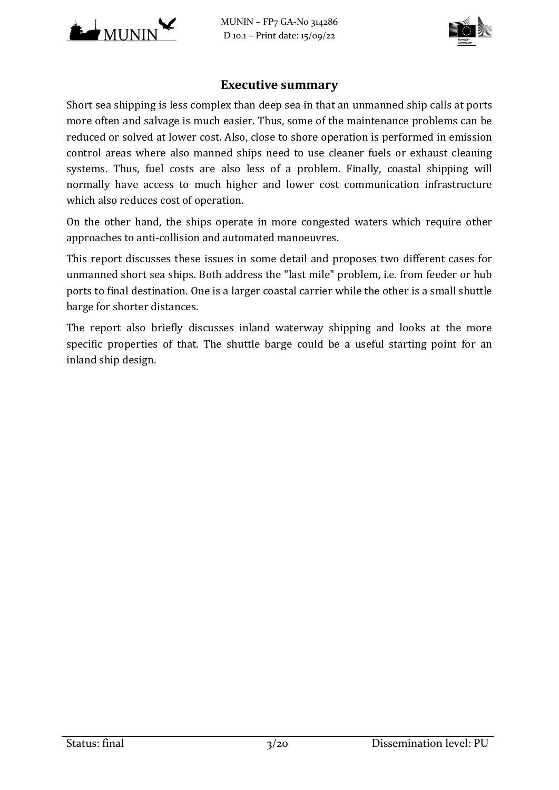

MUNIN – FP7 GA‐No 314286 D 10.1 – Print date: 15/09/22



# **Executive summary**

Short sea shipping is less complex than deep sea in that an unmanned ship calls at ports more often and salvage is much easier. Thus, some of the maintenance problems can be reduced or solved at lower cost. Also, close to shore operation is performed in emission control areas where also manned ships need to use cleaner fuels or exhaust cleaning systems. Thus, fuel costs are also less of a problem. Finally, coastal shipping will normally have access to much higher and lower cost communication infrastructure which also reduces cost of operation.

On the other hand, the ships operate in more congested waters which require other approaches to anti-collision and automated manoeuvres.

This report discusses these issues in some detail and proposes two different cases for unmanned short sea ships. Both address the "last mile" problem, i.e. from feeder or hub ports to final destination. One is a larger coastal carrier while the other is a small shuttle barge for shorter distances.

The report also briefly discusses inland waterway shipping and looks at the more specific properties of that. The shuttle barge could be a useful starting point for an inland ship design.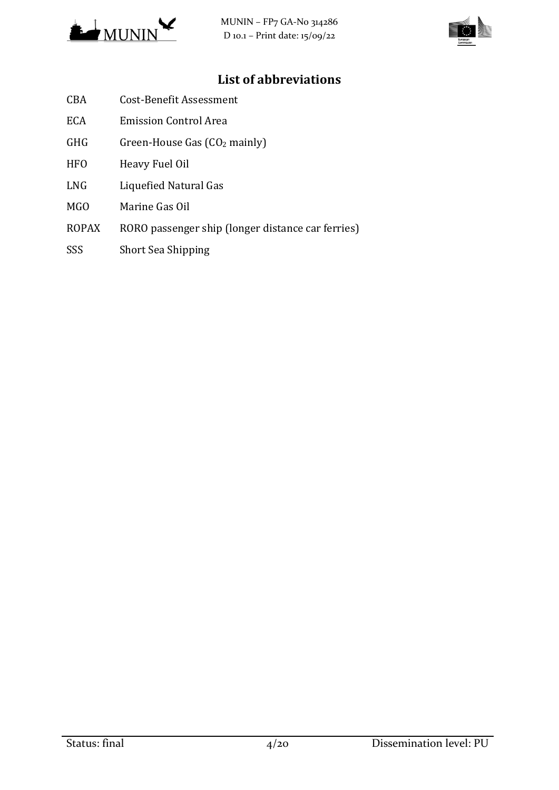



# **List of abbreviations**

- CBA Cost-Benefit Assessment
- ECA Emission Control Area
- GHG Green-House Gas  $(CO<sub>2</sub>$  mainly)
- HFO Heavy Fuel Oil
- LNG Liquefied Natural Gas
- MGO Marine Gas Oil
- ROPAX RORO passenger ship (longer distance car ferries)
- SSS Short Sea Shipping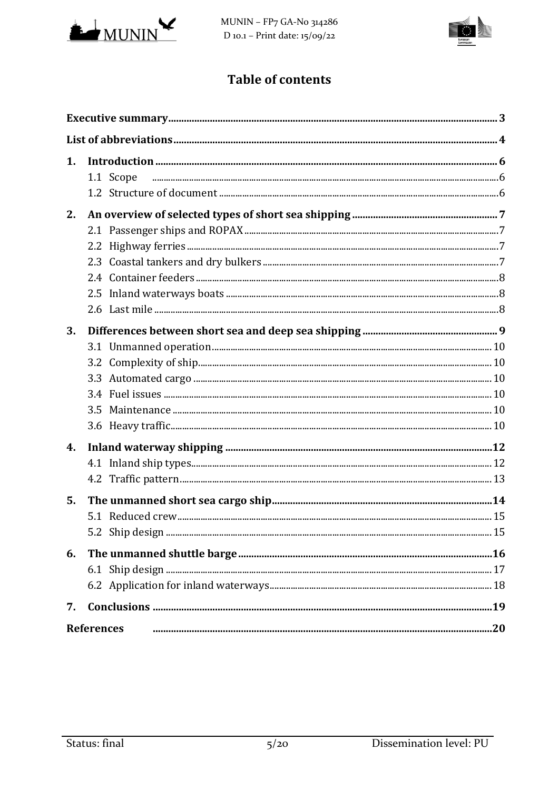

MUNIN - FP7 GA-No 314286 D 10.1 - Print date: 15/09/22



# **Table of contents**

| 1. | 1.1 Scope         |  |
|----|-------------------|--|
| 2. |                   |  |
| 3. |                   |  |
| 4. |                   |  |
| 5. |                   |  |
| 6. |                   |  |
| 7. |                   |  |
|    | <b>References</b> |  |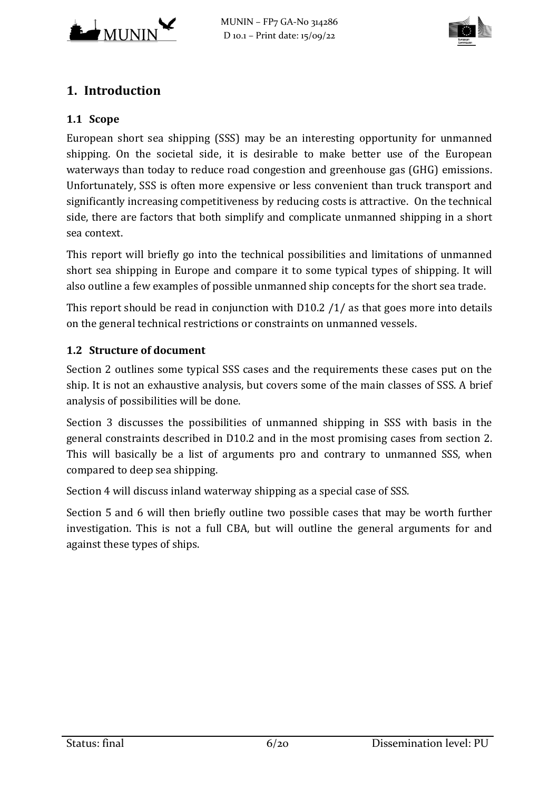



# **1. Introduction**

## **1.1 Scope**

European short sea shipping (SSS) may be an interesting opportunity for unmanned shipping. On the societal side, it is desirable to make better use of the European waterways than today to reduce road congestion and greenhouse gas (GHG) emissions. Unfortunately, SSS is often more expensive or less convenient than truck transport and significantly increasing competitiveness by reducing costs is attractive. On the technical side, there are factors that both simplify and complicate unmanned shipping in a short sea context. 

This report will briefly go into the technical possibilities and limitations of unmanned short sea shipping in Europe and compare it to some typical types of shipping. It will also outline a few examples of possible unmanned ship concepts for the short sea trade.

This report should be read in conjunction with  $D10.2 / 1/$  as that goes more into details on the general technical restrictions or constraints on unmanned vessels.

# **1.2 Structure of document**

Section 2 outlines some typical SSS cases and the requirements these cases put on the ship. It is not an exhaustive analysis, but covers some of the main classes of SSS. A brief analysis of possibilities will be done.

Section 3 discusses the possibilities of unmanned shipping in SSS with basis in the general constraints described in D10.2 and in the most promising cases from section 2. This will basically be a list of arguments pro and contrary to unmanned SSS, when compared to deep sea shipping.

Section 4 will discuss inland waterway shipping as a special case of SSS.

Section 5 and 6 will then briefly outline two possible cases that may be worth further investigation. This is not a full CBA, but will outline the general arguments for and against these types of ships.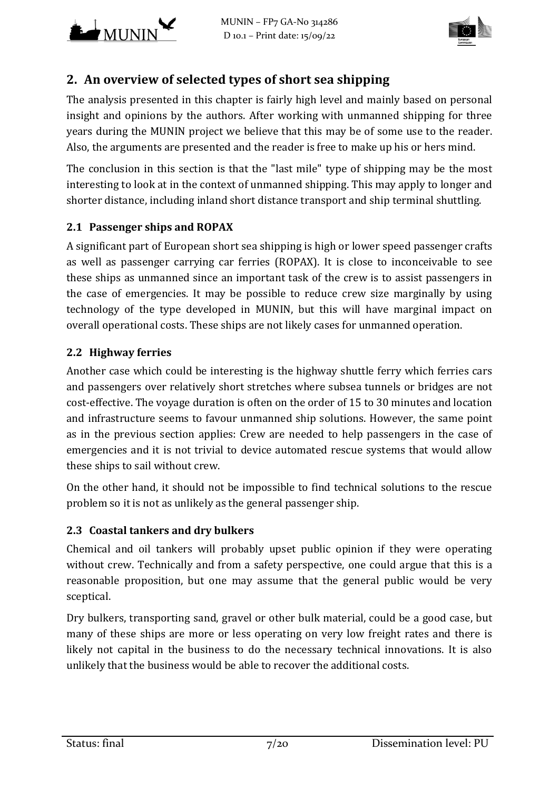



# **2. An overview of selected types of short sea shipping**

The analysis presented in this chapter is fairly high level and mainly based on personal insight and opinions by the authors. After working with unmanned shipping for three years during the MUNIN project we believe that this may be of some use to the reader. Also, the arguments are presented and the reader is free to make up his or hers mind.

The conclusion in this section is that the "last mile" type of shipping may be the most interesting to look at in the context of unmanned shipping. This may apply to longer and shorter distance, including inland short distance transport and ship terminal shuttling.

# **2.1 Passenger ships and ROPAX**

A significant part of European short sea shipping is high or lower speed passenger crafts as well as passenger carrying car ferries (ROPAX). It is close to inconceivable to see these ships as unmanned since an important task of the crew is to assist passengers in the case of emergencies. It may be possible to reduce crew size marginally by using technology of the type developed in MUNIN, but this will have marginal impact on overall operational costs. These ships are not likely cases for unmanned operation.

# **2.2 Highway ferries**

Another case which could be interesting is the highway shuttle ferry which ferries cars and passengers over relatively short stretches where subsea tunnels or bridges are not cost-effective. The voyage duration is often on the order of 15 to 30 minutes and location and infrastructure seems to favour unmanned ship solutions. However, the same point as in the previous section applies: Crew are needed to help passengers in the case of emergencies and it is not trivial to device automated rescue systems that would allow these ships to sail without crew.

On the other hand, it should not be impossible to find technical solutions to the rescue problem so it is not as unlikely as the general passenger ship.

# **2.3 Coastal tankers and dry bulkers**

Chemical and oil tankers will probably upset public opinion if they were operating without crew. Technically and from a safety perspective, one could argue that this is a reasonable proposition, but one may assume that the general public would be very sceptical. 

Dry bulkers, transporting sand, gravel or other bulk material, could be a good case, but many of these ships are more or less operating on very low freight rates and there is likely not capital in the business to do the necessary technical innovations. It is also unlikely that the business would be able to recover the additional costs.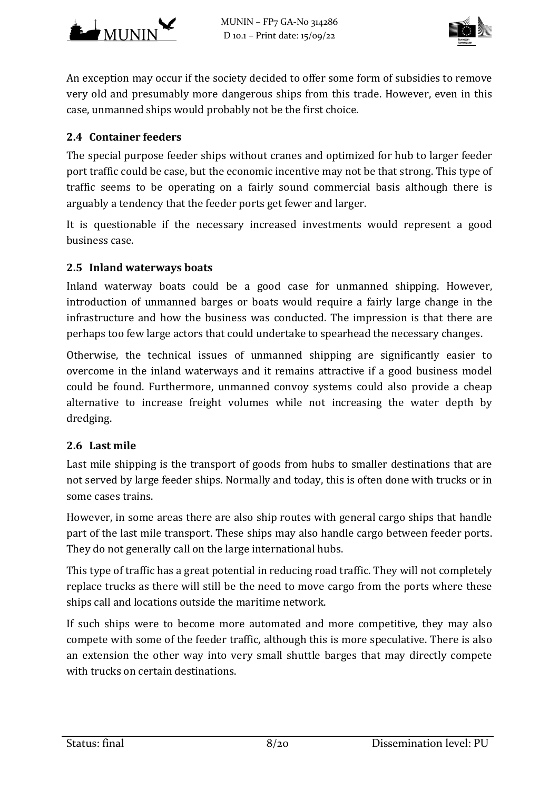



An exception may occur if the society decided to offer some form of subsidies to remove very old and presumably more dangerous ships from this trade. However, even in this case, unmanned ships would probably not be the first choice.

## **2.4 Container feeders**

The special purpose feeder ships without cranes and optimized for hub to larger feeder port traffic could be case, but the economic incentive may not be that strong. This type of traffic seems to be operating on a fairly sound commercial basis although there is arguably a tendency that the feeder ports get fewer and larger.

It is questionable if the necessary increased investments would represent a good business case.

## **2.5 Inland waterways boats**

Inland waterway boats could be a good case for unmanned shipping. However, introduction of unmanned barges or boats would require a fairly large change in the infrastructure and how the business was conducted. The impression is that there are perhaps too few large actors that could undertake to spearhead the necessary changes.

Otherwise, the technical issues of unmanned shipping are significantly easier to overcome in the inland waterways and it remains attractive if a good business model could be found. Furthermore, unmanned convoy systems could also provide a cheap alternative to increase freight volumes while not increasing the water depth by dredging. 

## **2.6 Last mile**

Last mile shipping is the transport of goods from hubs to smaller destinations that are not served by large feeder ships. Normally and today, this is often done with trucks or in some cases trains.

However, in some areas there are also ship routes with general cargo ships that handle part of the last mile transport. These ships may also handle cargo between feeder ports. They do not generally call on the large international hubs.

This type of traffic has a great potential in reducing road traffic. They will not completely replace trucks as there will still be the need to move cargo from the ports where these ships call and locations outside the maritime network.

If such ships were to become more automated and more competitive, they may also compete with some of the feeder traffic, although this is more speculative. There is also an extension the other way into very small shuttle barges that may directly compete with trucks on certain destinations.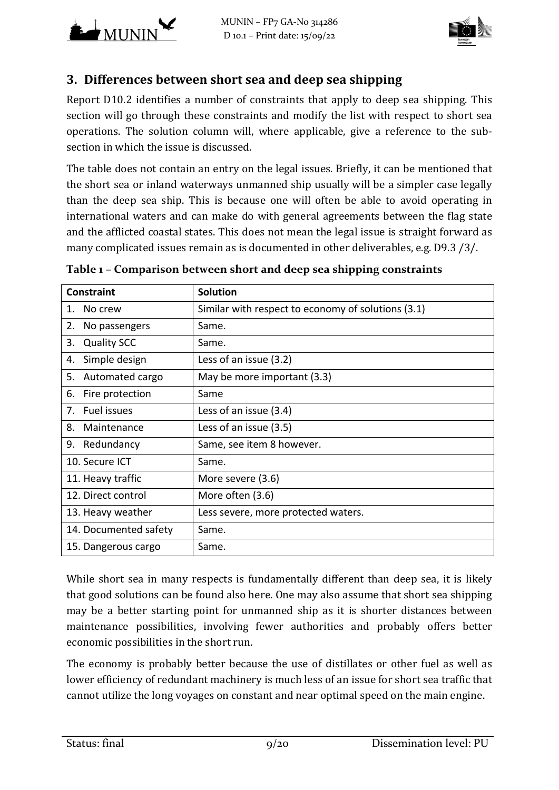



# **3. Differences between short sea and deep sea shipping**

Report D10.2 identifies a number of constraints that apply to deep sea shipping. This section will go through these constraints and modify the list with respect to short sea operations. The solution column will, where applicable, give a reference to the subsection in which the issue is discussed.

The table does not contain an entry on the legal issues. Briefly, it can be mentioned that the short sea or inland waterways unmanned ship usually will be a simpler case legally than the deep sea ship. This is because one will often be able to avoid operating in international waters and can make do with general agreements between the flag state and the afflicted coastal states. This does not mean the legal issue is straight forward as many complicated issues remain as is documented in other deliverables, e.g. D9.3 /3/.

| <b>Constraint</b>        | <b>Solution</b>                                    |
|--------------------------|----------------------------------------------------|
| No crew<br>1.            | Similar with respect to economy of solutions (3.1) |
| 2.<br>No passengers      | Same.                                              |
| <b>Quality SCC</b><br>3. | Same.                                              |
| Simple design<br>4.      | Less of an issue (3.2)                             |
| Automated cargo<br>5.    | May be more important (3.3)                        |
| Fire protection<br>6.    | Same                                               |
| Fuel issues<br>7.        | Less of an issue (3.4)                             |
| 8.<br>Maintenance        | Less of an issue (3.5)                             |
| Redundancy<br>9.         | Same, see item 8 however.                          |
| 10. Secure ICT           | Same.                                              |
| 11. Heavy traffic        | More severe (3.6)                                  |
| 12. Direct control       | More often (3.6)                                   |
| 13. Heavy weather        | Less severe, more protected waters.                |
| 14. Documented safety    | Same.                                              |
| 15. Dangerous cargo      | Same.                                              |

**Table 1 – Comparison between short and deep sea shipping constraints**

While short sea in many respects is fundamentally different than deep sea, it is likely that good solutions can be found also here. One may also assume that short sea shipping may be a better starting point for unmanned ship as it is shorter distances between maintenance possibilities, involving fewer authorities and probably offers better economic possibilities in the short run.

The economy is probably better because the use of distillates or other fuel as well as lower efficiency of redundant machinery is much less of an issue for short sea traffic that cannot utilize the long voyages on constant and near optimal speed on the main engine.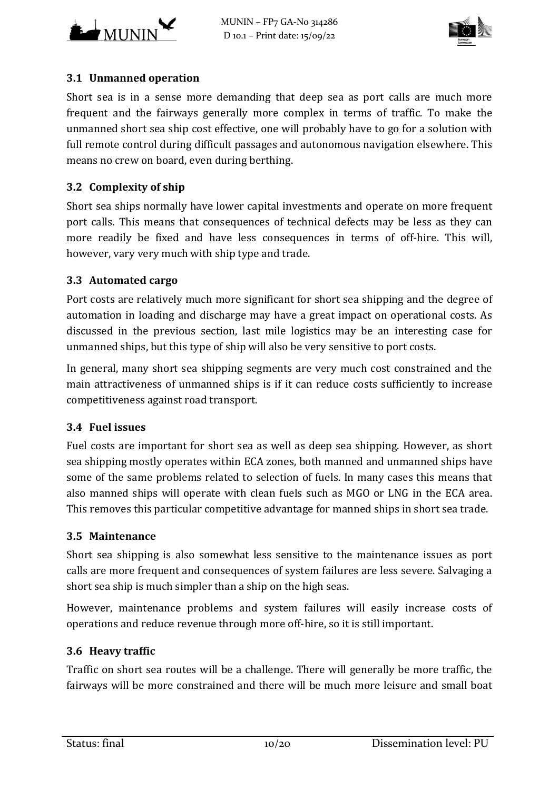



## **3.1 Unmanned operation**

Short sea is in a sense more demanding that deep sea as port calls are much more frequent and the fairways generally more complex in terms of traffic. To make the unmanned short sea ship cost effective, one will probably have to go for a solution with full remote control during difficult passages and autonomous navigation elsewhere. This means no crew on board, even during berthing.

# **3.2 Complexity of ship**

Short sea ships normally have lower capital investments and operate on more frequent port calls. This means that consequences of technical defects may be less as they can more readily be fixed and have less consequences in terms of off-hire. This will, however, vary very much with ship type and trade.

## **3.3 Automated cargo**

Port costs are relatively much more significant for short sea shipping and the degree of automation in loading and discharge may have a great impact on operational costs. As discussed in the previous section, last mile logistics may be an interesting case for unmanned ships, but this type of ship will also be very sensitive to port costs.

In general, many short sea shipping segments are very much cost constrained and the main attractiveness of unmanned ships is if it can reduce costs sufficiently to increase competitiveness against road transport.

## **3.4 Fuel issues**

Fuel costs are important for short sea as well as deep sea shipping. However, as short sea shipping mostly operates within ECA zones, both manned and unmanned ships have some of the same problems related to selection of fuels. In many cases this means that also manned ships will operate with clean fuels such as MGO or LNG in the ECA area. This removes this particular competitive advantage for manned ships in short sea trade.

## **3.5 Maintenance**

Short sea shipping is also somewhat less sensitive to the maintenance issues as port calls are more frequent and consequences of system failures are less severe. Salvaging a short sea ship is much simpler than a ship on the high seas.

However, maintenance problems and system failures will easily increase costs of operations and reduce revenue through more off-hire, so it is still important.

## **3.6 Heavy traffic**

Traffic on short sea routes will be a challenge. There will generally be more traffic, the fairways will be more constrained and there will be much more leisure and small boat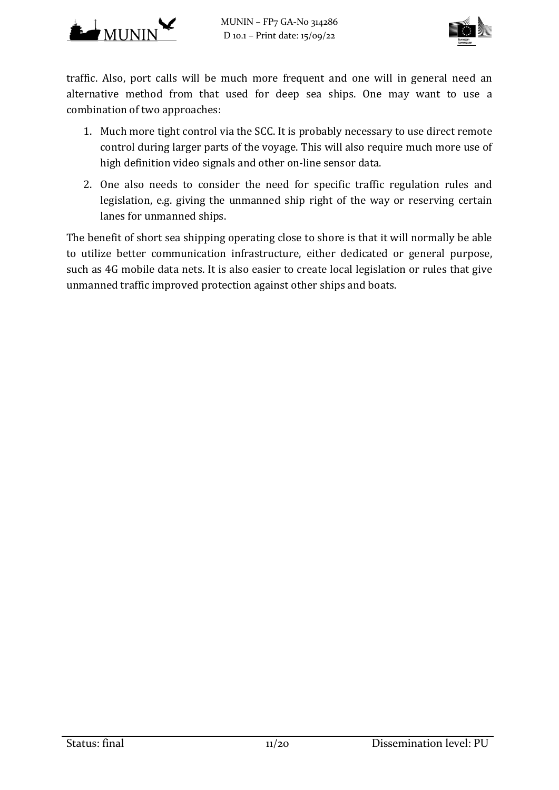



traffic. Also, port calls will be much more frequent and one will in general need an alternative method from that used for deep sea ships. One may want to use a combination of two approaches:

- 1. Much more tight control via the SCC. It is probably necessary to use direct remote control during larger parts of the voyage. This will also require much more use of high definition video signals and other on-line sensor data.
- 2. One also needs to consider the need for specific traffic regulation rules and legislation, e.g. giving the unmanned ship right of the way or reserving certain lanes for unmanned ships.

The benefit of short sea shipping operating close to shore is that it will normally be able to utilize better communication infrastructure, either dedicated or general purpose, such as 4G mobile data nets. It is also easier to create local legislation or rules that give unmanned traffic improved protection against other ships and boats.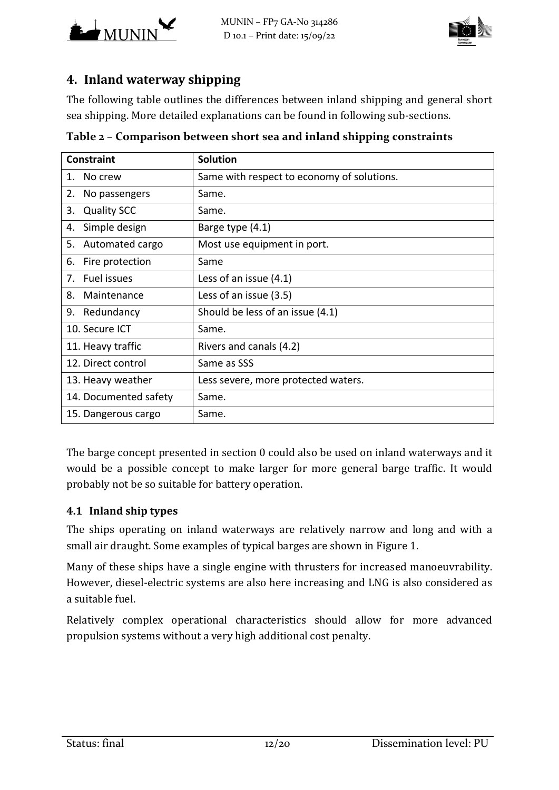



# **4. Inland waterway shipping**

The following table outlines the differences between inland shipping and general short sea shipping. More detailed explanations can be found in following sub-sections.

| <b>Constraint</b>        | <b>Solution</b>                            |
|--------------------------|--------------------------------------------|
| No crew<br>1.            | Same with respect to economy of solutions. |
| 2.<br>No passengers      | Same.                                      |
| <b>Quality SCC</b><br>3. | Same.                                      |
| Simple design<br>4.      | Barge type (4.1)                           |
| Automated cargo<br>5.    | Most use equipment in port.                |
| Fire protection<br>6.    | Same                                       |
| Fuel issues<br>7.        | Less of an issue $(4.1)$                   |
| Maintenance<br>8.        | Less of an issue (3.5)                     |
| 9. Redundancy            | Should be less of an issue (4.1)           |
| 10. Secure ICT           | Same.                                      |
| 11. Heavy traffic        | Rivers and canals (4.2)                    |
| 12. Direct control       | Same as SSS                                |
| 13. Heavy weather        | Less severe, more protected waters.        |
| 14. Documented safety    | Same.                                      |
| 15. Dangerous cargo      | Same.                                      |

**Table 2 – Comparison between short sea and inland shipping constraints**

The barge concept presented in section  $0$  could also be used on inland waterways and it would be a possible concept to make larger for more general barge traffic. It would probably not be so suitable for battery operation.

## **4.1 Inland ship types**

The ships operating on inland waterways are relatively narrow and long and with a small air draught. Some examples of typical barges are shown in Figure 1.

Many of these ships have a single engine with thrusters for increased manoeuvrability. However, diesel-electric systems are also here increasing and LNG is also considered as a suitable fuel.

Relatively complex operational characteristics should allow for more advanced propulsion systems without a very high additional cost penalty.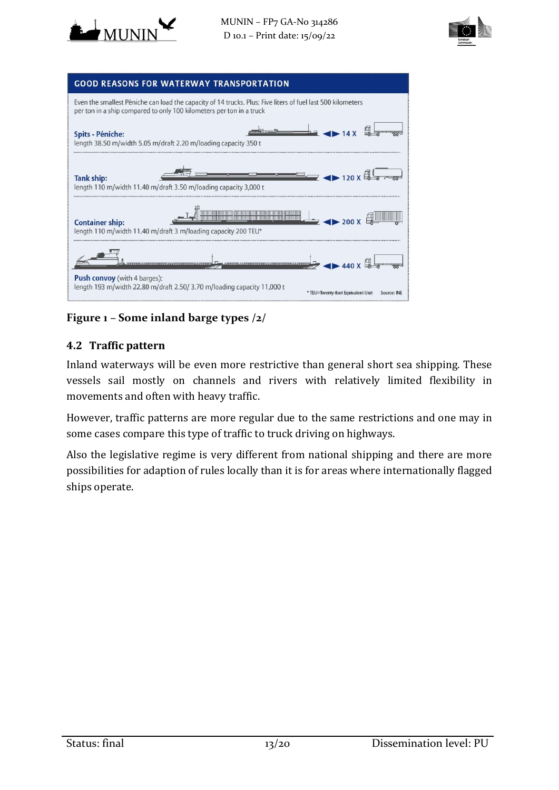





# **Figure 1 – Some inland barge types /2/**

# **4.2 Traffic pattern**

Inland waterways will be even more restrictive than general short sea shipping. These vessels sail mostly on channels and rivers with relatively limited flexibility in movements and often with heavy traffic.

However, traffic patterns are more regular due to the same restrictions and one may in some cases compare this type of traffic to truck driving on highways.

Also the legislative regime is very different from national shipping and there are more possibilities for adaption of rules locally than it is for areas where internationally flagged ships operate.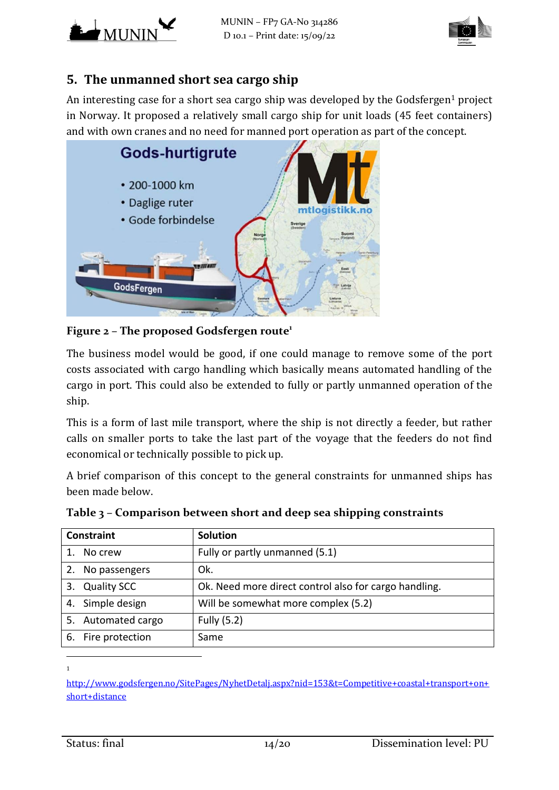



# **5. The unmanned short sea cargo ship**

An interesting case for a short sea cargo ship was developed by the Godsfergen<sup>1</sup> project in Norway. It proposed a relatively small cargo ship for unit loads (45 feet containers) and with own cranes and no need for manned port operation as part of the concept.



## **Figure 2 – The proposed Godsfergen route<sup>1</sup>**

The business model would be good, if one could manage to remove some of the port costs associated with cargo handling which basically means automated handling of the cargo in port. This could also be extended to fully or partly unmanned operation of the ship. 

This is a form of last mile transport, where the ship is not directly a feeder, but rather calls on smaller ports to take the last part of the voyage that the feeders do not find economical or technically possible to pick up.

A brief comparison of this concept to the general constraints for unmanned ships has been made below.

| <b>Constraint</b>   | <b>Solution</b>                                       |
|---------------------|-------------------------------------------------------|
| No crew<br>$1_{-}$  | Fully or partly unmanned (5.1)                        |
| No passengers<br>2. | Ok.                                                   |
| 3. Quality SCC      | Ok. Need more direct control also for cargo handling. |
| 4. Simple design    | Will be somewhat more complex (5.2)                   |
| 5. Automated cargo  | Fully (5.2)                                           |
| 6. Fire protection  | Same                                                  |

**Table 3 – Comparison between short and deep sea shipping constraints**

1

 

http://www.godsfergen.no/SitePages/NyhetDetalj.aspx?nid=153&t=Competitive+coastal+transport+on+ short+distance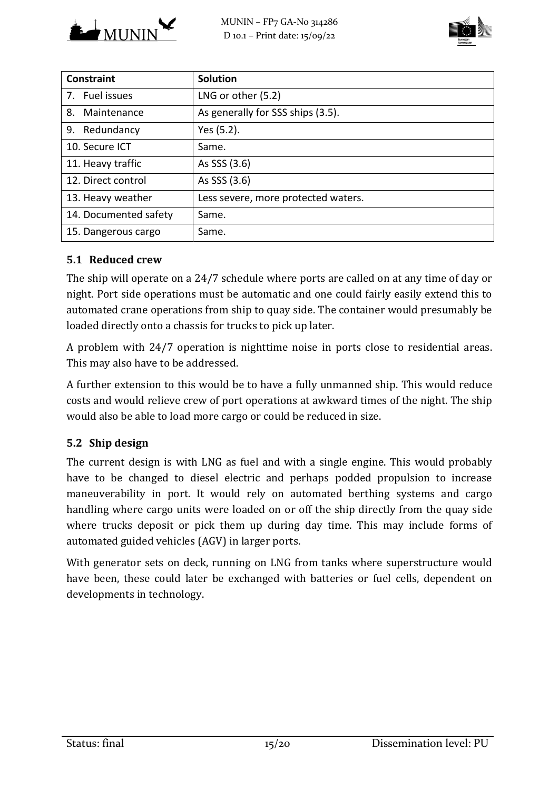



| <b>Constraint</b>     | <b>Solution</b>                     |
|-----------------------|-------------------------------------|
| 7. Fuel issues        | LNG or other (5.2)                  |
| 8. Maintenance        | As generally for SSS ships (3.5).   |
| 9. Redundancy         | Yes (5.2).                          |
| 10. Secure ICT        | Same.                               |
| 11. Heavy traffic     | As SSS (3.6)                        |
| 12. Direct control    | As SSS (3.6)                        |
| 13. Heavy weather     | Less severe, more protected waters. |
| 14. Documented safety | Same.                               |
| 15. Dangerous cargo   | Same.                               |

# **5.1 Reduced crew**

The ship will operate on a 24/7 schedule where ports are called on at any time of day or night. Port side operations must be automatic and one could fairly easily extend this to automated crane operations from ship to quay side. The container would presumably be loaded directly onto a chassis for trucks to pick up later.

A problem with 24/7 operation is nighttime noise in ports close to residential areas. This may also have to be addressed.

A further extension to this would be to have a fully unmanned ship. This would reduce costs and would relieve crew of port operations at awkward times of the night. The ship would also be able to load more cargo or could be reduced in size.

## **5.2 Ship design**

The current design is with LNG as fuel and with a single engine. This would probably have to be changed to diesel electric and perhaps podded propulsion to increase maneuverability in port. It would rely on automated berthing systems and cargo handling where cargo units were loaded on or off the ship directly from the quay side where trucks deposit or pick them up during day time. This may include forms of automated guided vehicles (AGV) in larger ports.

With generator sets on deck, running on LNG from tanks where superstructure would have been, these could later be exchanged with batteries or fuel cells, dependent on developments in technology.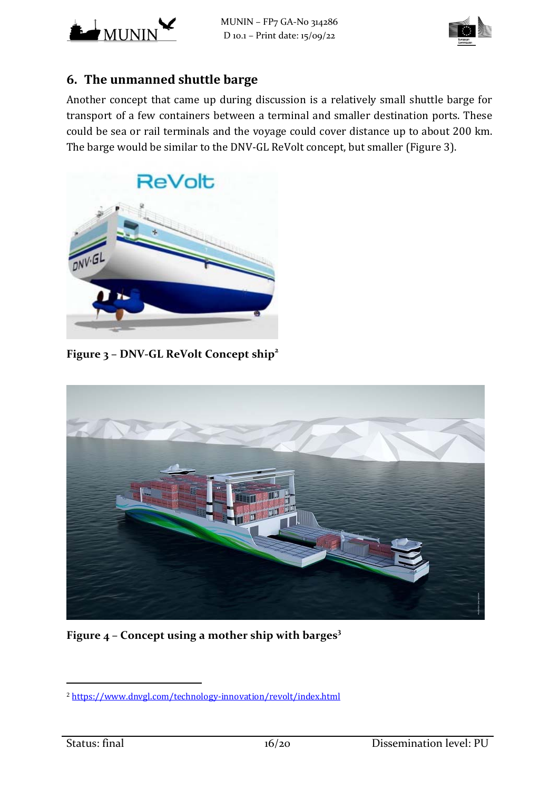



# **6. The unmanned shuttle barge**

Another concept that came up during discussion is a relatively small shuttle barge for transport of a few containers between a terminal and smaller destination ports. These could be sea or rail terminals and the voyage could cover distance up to about 200 km. The barge would be similar to the DNV-GL ReVolt concept, but smaller (Figure 3).



**Figure 3 – DNV‐GL ReVolt Concept ship<sup>2</sup>** 



**Figure 4 – Concept using a mother ship with barges3** 

 

<sup>2</sup> https://www.dnvgl.com/technology‐innovation/revolt/index.html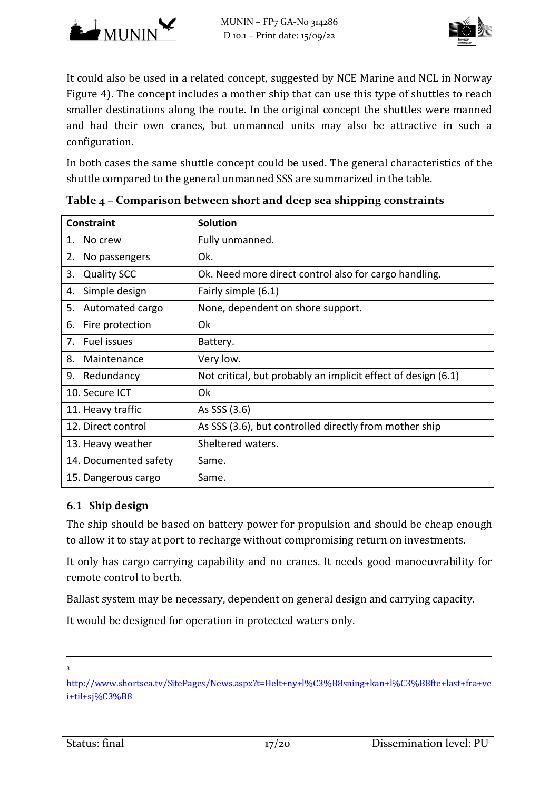



It could also be used in a related concept, suggested by NCE Marine and NCL in Norway Figure 4). The concept includes a mother ship that can use this type of shuttles to reach smaller destinations along the route. In the original concept the shuttles were manned and had their own cranes, but unmanned units may also be attractive in such a configuration. 

In both cases the same shuttle concept could be used. The general characteristics of the shuttle compared to the general unmanned SSS are summarized in the table.

| <b>Constraint</b>        | <b>Solution</b>                                               |
|--------------------------|---------------------------------------------------------------|
| No crew<br>1.            | Fully unmanned.                                               |
| 2.<br>No passengers      | Ok.                                                           |
| 3.<br><b>Quality SCC</b> | Ok. Need more direct control also for cargo handling.         |
| Simple design<br>4.      | Fairly simple (6.1)                                           |
| Automated cargo<br>5.    | None, dependent on shore support.                             |
| 6.<br>Fire protection    | Ok                                                            |
| Fuel issues<br>7.        | Battery.                                                      |
| 8.<br>Maintenance        | Very low.                                                     |
| 9.<br>Redundancy         | Not critical, but probably an implicit effect of design (6.1) |
| 10. Secure ICT           | 0k                                                            |
| 11. Heavy traffic        | As SSS (3.6)                                                  |
| 12. Direct control       | As SSS (3.6), but controlled directly from mother ship        |
| 13. Heavy weather        | Sheltered waters.                                             |
| 14. Documented safety    | Same.                                                         |
| 15. Dangerous cargo      | Same.                                                         |

## **6.1 Ship design**

The ship should be based on battery power for propulsion and should be cheap enough to allow it to stay at port to recharge without compromising return on investments.

It only has cargo carrying capability and no cranes. It needs good manoeuvrability for remote control to berth.

Ballast system may be necessary, dependent on general design and carrying capacity.

It would be designed for operation in protected waters only.

<u> 2002 - Andrea San Andrea San Andrea San Andrea San Andrea San Andrea San Andrea San Andrea San Andrea San An</u> 3

http://www.shortsea.tv/SitePages/News.aspx?t=Helt+ny+l%C3%B8sning+kan+l%C3%B8fte+last+fra+ve i+til+sj%C3%B8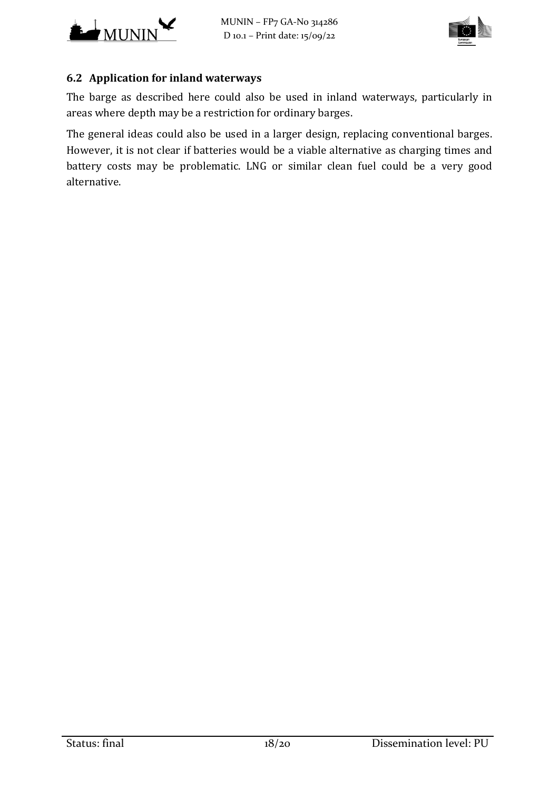



## **6.2 Application for inland waterways**

The barge as described here could also be used in inland waterways, particularly in areas where depth may be a restriction for ordinary barges.

The general ideas could also be used in a larger design, replacing conventional barges. However, it is not clear if batteries would be a viable alternative as charging times and battery costs may be problematic. LNG or similar clean fuel could be a very good alternative.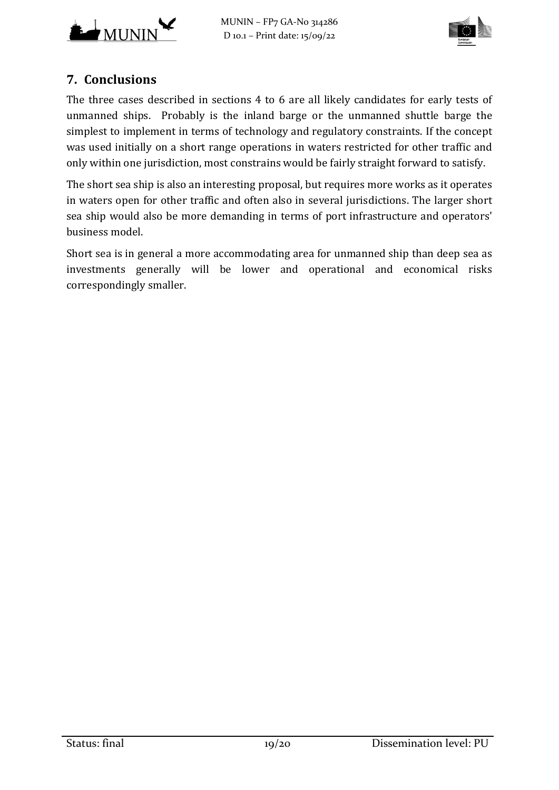



# **7. Conclusions**

The three cases described in sections 4 to 6 are all likely candidates for early tests of unmanned ships. Probably is the inland barge or the unmanned shuttle barge the simplest to implement in terms of technology and regulatory constraints. If the concept was used initially on a short range operations in waters restricted for other traffic and only within one jurisdiction, most constrains would be fairly straight forward to satisfy.

The short sea ship is also an interesting proposal, but requires more works as it operates in waters open for other traffic and often also in several jurisdictions. The larger short sea ship would also be more demanding in terms of port infrastructure and operators' business model.

Short sea is in general a more accommodating area for unmanned ship than deep sea as investments generally will be lower and operational and economical risks correspondingly smaller.